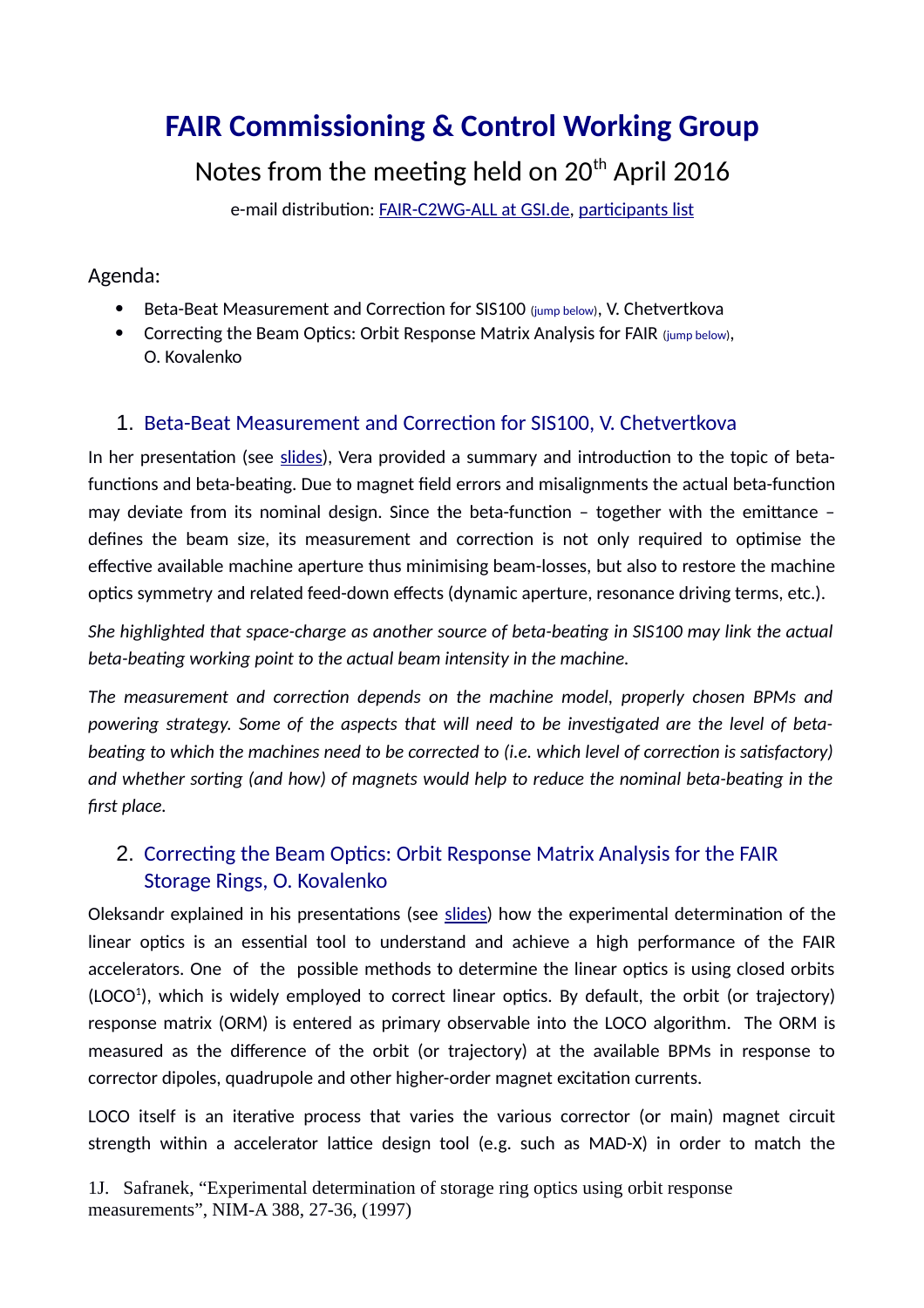# **FAIR Commissioning & Control Working Group**

Notes from the meeting held on  $20<sup>th</sup>$  April 2016

e-mail distribution: [FAIR-C2WG-ALL at GSI.de,](mailto:FAIR-C2WG-ALL%20(at)%20GSI%20(punkt)%20de) [participants list](https://fair-wiki.gsi.de/foswiki/pub/FC2WG/FairC2WGMinutes/20160420_FC2WG_AttendanceList.pdf)

#### Agenda:

- **•** Beta-Beat Measurement and Correction for SIS100 (jump [below\)](#page-0-0), V. Chetvertkova
- Correcting the Beam Optics: Orbit Response Matrix Analysis for FAIR (jump [below\)](#page-0-1), O. Kovalenko

### <span id="page-0-0"></span>1. Beta-Beat Measurement and Correction for SIS100, V. Chetvertkova

In her presentation (see [slides\)](https://fair-wiki.gsi.de/foswiki/pub/FC2WG/FairC2WGMinutes/20160420_BetaBeat-FC2WG_VC.pdf), Vera provided a summary and introduction to the topic of betafunctions and beta-beating. Due to magnet field errors and misalignments the actual beta-function may deviate from its nominal design. Since the beta-function – together with the emittance – defines the beam size, its measurement and correction is not only required to optimise the effective available machine aperture thus minimising beam-losses, but also to restore the machine optics symmetry and related feed-down effects (dynamic aperture, resonance driving terms, etc.).

*She highlighted that space-charge as another source of beta-beating in SIS100 may link the actual beta-beating working point to the actual beam intensity in the machine.*

*The measurement and correction depends on the machine model, properly chosen BPMs and powering strategy. Some of the aspects that will need to be investigated are the level of betabeating to which the machines need to be corrected to (i.e. which level of correction is satisfactory) and whether sorting (and how) of magnets would help to reduce the nominal beta-beating in the first place.*

## <span id="page-0-1"></span>2. Correcting the Beam Optics: Orbit Response Matrix Analysis for the FAIR Storage Rings, O. Kovalenko

Oleksandr explained in his presentations (see [slides\)](https://fair-wiki.gsi.de/foswiki/pub/FC2WG/FairC2WGMinutes/20160420_ORM_for_FAIR_introduction_final.pdf) how the experimental determination of the linear optics is an essential tool to understand and achieve a high performance of the FAIR accelerators. One of the possible methods to determine the linear optics is using closed orbits (LOCO<sup>[1](#page-0-2)</sup>), which is widely employed to correct linear optics. By default, the orbit (or trajectory) response matrix (ORM) is entered as primary observable into the LOCO algorithm. The ORM is measured as the difference of the orbit (or trajectory) at the available BPMs in response to corrector dipoles, quadrupole and other higher-order magnet excitation currents.

LOCO itself is an iterative process that varies the various corrector (or main) magnet circuit strength within a accelerator lattice design tool (e.g. such as MAD-X) in order to match the

<span id="page-0-2"></span>1J. Safranek, "Experimental determination of storage ring optics using orbit response measurements", NIM-A 388, 27-36, (1997)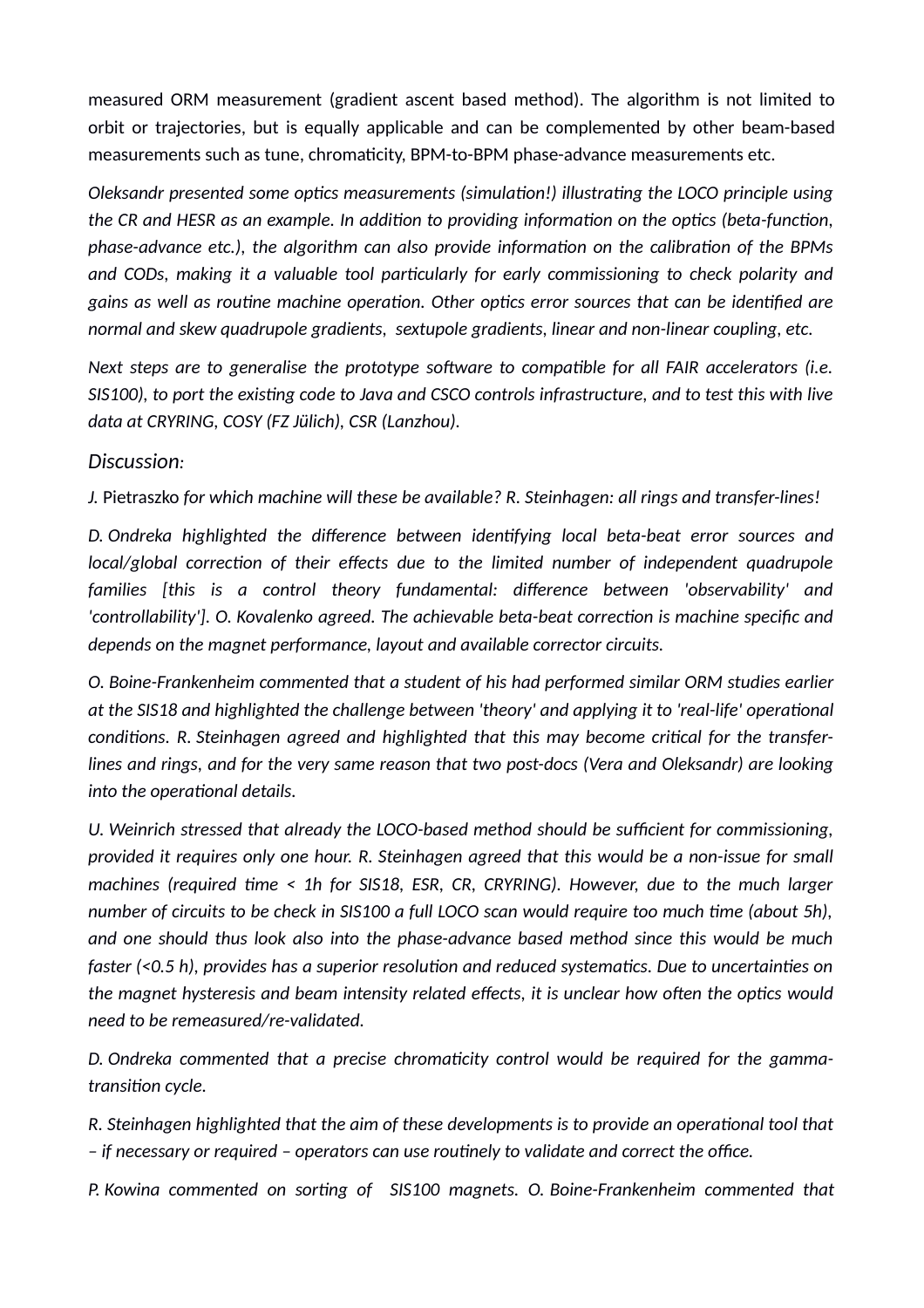measured ORM measurement (gradient ascent based method). The algorithm is not limited to orbit or trajectories, but is equally applicable and can be complemented by other beam-based measurements such as tune, chromaticity, BPM-to-BPM phase-advance measurements etc.

*Oleksandr presented some optics measurements (simulation!) illustrating the LOCO principle using the CR and HESR as an example. In addition to providing information on the optics (beta-function, phase-advance etc.), the algorithm can also provide information on the calibration of the BPMs and CODs, making it a valuable tool particularly for early commissioning to check polarity and gains as well as routine machine operation. Other optics error sources that can be identified are normal and skew quadrupole gradients, sextupole gradients, linear and non-linear coupling, etc.*

*Next steps are to generalise the prototype software to compatible for all FAIR accelerators (i.e. SIS100), to port the existing code to Java and CSCO controls infrastructure, and to test this with live data at CRYRING, COSY (FZ Jülich), CSR (Lanzhou).*

#### *Discussion:*

*J.* Pietraszko *for which machine will these be available? R. Steinhagen: all rings and transfer-lines!*

*D. Ondreka highlighted the difference between identifying local beta-beat error sources and local/global correction of their effects due to the limited number of independent quadrupole families [this is a control theory fundamental: difference between 'observability' and 'controllability']. O. Kovalenko agreed. The achievable beta-beat correction is machine specific and depends on the magnet performance, layout and available corrector circuits.*

*O. Boine-Frankenheim commented that a student of his had performed similar ORM studies earlier at the SIS18 and highlighted the challenge between 'theory' and applying it to 'real-life' operational conditions. R. Steinhagen agreed and highlighted that this may become critical for the transferlines and rings, and for the very same reason that two post-docs (Vera and Oleksandr) are looking into the operational details.*

*U. Weinrich stressed that already the LOCO-based method should be sufficient for commissioning, provided it requires only one hour. R. Steinhagen agreed that this would be a non-issue for small machines (required time < 1h for SIS18, ESR, CR, CRYRING). However, due to the much larger number of circuits to be check in SIS100 a full LOCO scan would require too much time (about 5h), and one should thus look also into the phase-advance based method since this would be much faster (<0.5 h), provides has a superior resolution and reduced systematics. Due to uncertainties on the magnet hysteresis and beam intensity related effects, it is unclear how often the optics would need to be remeasured/re-validated.*

*D. Ondreka commented that a precise chromaticity control would be required for the gammatransition cycle.* 

*R. Steinhagen highlighted that the aim of these developments is to provide an operational tool that – if necessary or required – operators can use routinely to validate and correct the office.*

*P. Kowina commented on sorting of SIS100 magnets. O. Boine-Frankenheim commented that*